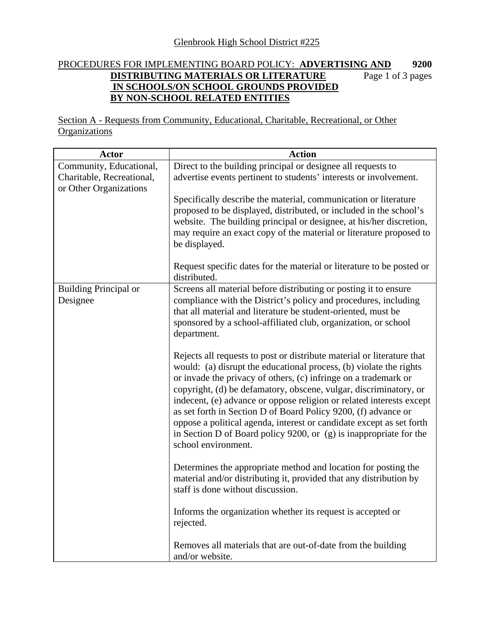## PROCEDURES FOR IMPLEMENTING BOARD POLICY: **ADVERTISING AND 9200 DISTRIBUTING MATERIALS OR LITERATURE IN SCHOOLS/ON SCHOOL GROUNDS PROVIDED BY NON-SCHOOL RELATED ENTITIES** Page 1 of 3 pages

Section A - Requests from Community, Educational, Charitable, Recreational, or Other **Organizations** 

| <b>Actor</b>                                         | <b>Action</b>                                                                                                                                                                                                                                                                                                                                                                                                                                                                                                                                                                                         |
|------------------------------------------------------|-------------------------------------------------------------------------------------------------------------------------------------------------------------------------------------------------------------------------------------------------------------------------------------------------------------------------------------------------------------------------------------------------------------------------------------------------------------------------------------------------------------------------------------------------------------------------------------------------------|
| Community, Educational,<br>Charitable, Recreational, | Direct to the building principal or designee all requests to<br>advertise events pertinent to students' interests or involvement.                                                                                                                                                                                                                                                                                                                                                                                                                                                                     |
| or Other Organizations                               | Specifically describe the material, communication or literature                                                                                                                                                                                                                                                                                                                                                                                                                                                                                                                                       |
|                                                      | proposed to be displayed, distributed, or included in the school's<br>website. The building principal or designee, at his/her discretion,                                                                                                                                                                                                                                                                                                                                                                                                                                                             |
|                                                      | may require an exact copy of the material or literature proposed to<br>be displayed.                                                                                                                                                                                                                                                                                                                                                                                                                                                                                                                  |
|                                                      | Request specific dates for the material or literature to be posted or<br>distributed.                                                                                                                                                                                                                                                                                                                                                                                                                                                                                                                 |
| <b>Building Principal or</b><br>Designee             | Screens all material before distributing or posting it to ensure<br>compliance with the District's policy and procedures, including<br>that all material and literature be student-oriented, must be<br>sponsored by a school-affiliated club, organization, or school<br>department.                                                                                                                                                                                                                                                                                                                 |
|                                                      | Rejects all requests to post or distribute material or literature that<br>would: (a) disrupt the educational process, (b) violate the rights<br>or invade the privacy of others, (c) infringe on a trademark or<br>copyright, (d) be defamatory, obscene, vulgar, discriminatory, or<br>indecent, (e) advance or oppose religion or related interests except<br>as set forth in Section D of Board Policy 9200, (f) advance or<br>oppose a political agenda, interest or candidate except as set forth<br>in Section D of Board policy 9200, or $(g)$ is inappropriate for the<br>school environment. |
|                                                      | Determines the appropriate method and location for posting the<br>material and/or distributing it, provided that any distribution by<br>staff is done without discussion.                                                                                                                                                                                                                                                                                                                                                                                                                             |
|                                                      | Informs the organization whether its request is accepted or<br>rejected.                                                                                                                                                                                                                                                                                                                                                                                                                                                                                                                              |
|                                                      | Removes all materials that are out-of-date from the building<br>and/or website.                                                                                                                                                                                                                                                                                                                                                                                                                                                                                                                       |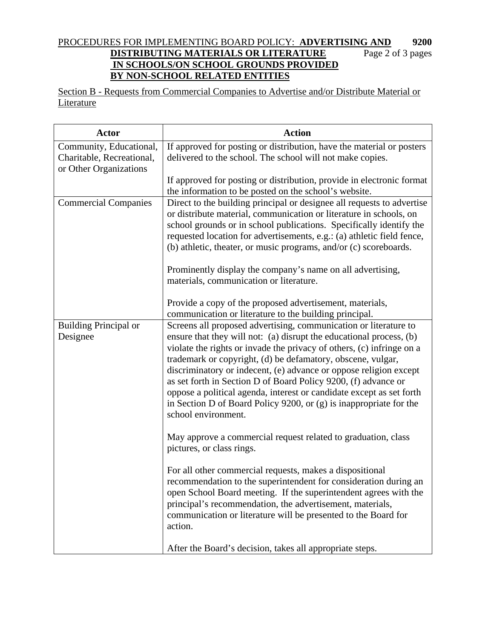## PROCEDURES FOR IMPLEMENTING BOARD POLICY: **ADVERTISING AND 9200 DISTRIBUTING MATERIALS OR LITERATURE** Page 2 of 3 pages  **IN SCHOOLS/ON SCHOOL GROUNDS PROVIDED BY NON-SCHOOL RELATED ENTITIES**

Section B - Requests from Commercial Companies to Advertise and/or Distribute Material or Literature

| <b>Actor</b>                                                                   | <b>Action</b>                                                                                                                                                                                                                                                                                                                                                                                                                                                                                                                                                                               |
|--------------------------------------------------------------------------------|---------------------------------------------------------------------------------------------------------------------------------------------------------------------------------------------------------------------------------------------------------------------------------------------------------------------------------------------------------------------------------------------------------------------------------------------------------------------------------------------------------------------------------------------------------------------------------------------|
| Community, Educational,<br>Charitable, Recreational,<br>or Other Organizations | If approved for posting or distribution, have the material or posters<br>delivered to the school. The school will not make copies.                                                                                                                                                                                                                                                                                                                                                                                                                                                          |
|                                                                                | If approved for posting or distribution, provide in electronic format<br>the information to be posted on the school's website.                                                                                                                                                                                                                                                                                                                                                                                                                                                              |
| <b>Commercial Companies</b>                                                    | Direct to the building principal or designee all requests to advertise<br>or distribute material, communication or literature in schools, on<br>school grounds or in school publications. Specifically identify the<br>requested location for advertisements, e.g.: (a) athletic field fence,<br>(b) athletic, theater, or music programs, and/or (c) scoreboards.<br>Prominently display the company's name on all advertising,<br>materials, communication or literature.                                                                                                                 |
|                                                                                | Provide a copy of the proposed advertisement, materials,<br>communication or literature to the building principal.                                                                                                                                                                                                                                                                                                                                                                                                                                                                          |
| <b>Building Principal or</b><br>Designee                                       | Screens all proposed advertising, communication or literature to<br>ensure that they will not: (a) disrupt the educational process, (b)<br>violate the rights or invade the privacy of others, (c) infringe on a<br>trademark or copyright, (d) be defamatory, obscene, vulgar,<br>discriminatory or indecent, (e) advance or oppose religion except<br>as set forth in Section D of Board Policy 9200, (f) advance or<br>oppose a political agenda, interest or candidate except as set forth<br>in Section D of Board Policy 9200, or (g) is inappropriate for the<br>school environment. |
|                                                                                | May approve a commercial request related to graduation, class<br>pictures, or class rings.                                                                                                                                                                                                                                                                                                                                                                                                                                                                                                  |
|                                                                                | For all other commercial requests, makes a dispositional<br>recommendation to the superintendent for consideration during an<br>open School Board meeting. If the superintendent agrees with the<br>principal's recommendation, the advertisement, materials,<br>communication or literature will be presented to the Board for<br>action.                                                                                                                                                                                                                                                  |
|                                                                                | After the Board's decision, takes all appropriate steps.                                                                                                                                                                                                                                                                                                                                                                                                                                                                                                                                    |